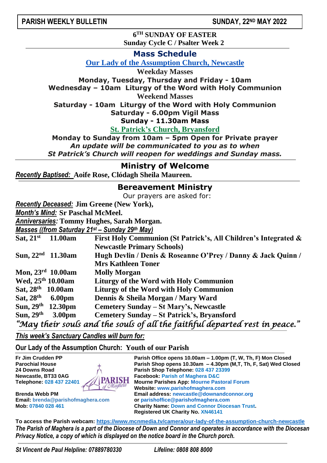**6 TH SUNDAY OF EASTER Sunday Cycle C / Psalter Week 2**

# **Mass Schedule**

**Our Lady of the Assumption Church, Newcastle**

**Weekday Masses Monday, Tuesday, Thursday and Friday - 10am Wednesday – 10am Liturgy of the Word with Holy Communion Weekend Masses**

**Saturday - 10am Liturgy of the Word with Holy Communion Saturday - 6.00pm Vigil Mass**

**Sunday - 11.30am Mass**

**St. Patrick's Church, Bryansford**

**Monday to Sunday from 10am – 5pm Open for Private prayer** *An update will be communicated to you as to when St Patrick's Church will reopen for weddings and Sunday mass.* 

# **Ministry of Welcome**

*Recently Baptised:* **Aoife Rose, Clódagh Sheila Maureen.**

## **Bereavement Ministry**

Our prayers are asked for:

*Recently Deceased:* **Jim Greene (New York),**

*Month's Mind:* **Sr Paschal McMeel.**

*Anniversaries:* **Tommy Hughes, Sarah Morgan.**

*Masses ((from Saturday 21st – Sunday 29 th May)*

| Sat, $21st$                   | 11.00am       | First Holy Communion (St Patrick's, All Children's Integrated &             |
|-------------------------------|---------------|-----------------------------------------------------------------------------|
|                               |               | <b>Newcastle Primary Schools)</b>                                           |
| Sun, $22^{nd}$ 11.30am        |               | Hugh Devlin / Denis & Roseanne O'Prey / Danny & Jack Quinn /                |
|                               |               | <b>Mrs Kathleen Toner</b>                                                   |
| Mon, $23^{\text{rd}}$ 10.00am |               | <b>Molly Morgan</b>                                                         |
| Wed, 25 <sup>th</sup> 10.00am |               | <b>Liturgy of the Word with Holy Communion</b>                              |
| Sat, $28^{th}$ 10.00am        |               | <b>Liturgy of the Word with Holy Communion</b>                              |
| Sat, $28th$                   | <b>6.00pm</b> | Dennis & Sheila Morgan / Mary Ward                                          |
| Sun, $29^{th}$ 12.30pm        |               | Cemetery Sunday – St Mary's, Newcastle                                      |
| Sun, $29th$                   | 3.00pm        | Cemetery Sunday – St Patrick's, Bryansford                                  |
|                               |               | "May their souls and the souls of all the faithful departed rest in peace." |

*This week's Sanctuary Candles will burn for:* 

**Our Lady of the Assumption Church: Youth of our Parish**

**Fr Jim Crudden PP Parish Office opens 10.00am – 1.00pm (T, W, Th, F) Mon Closed Parish Shop opens 10.30am – 4.30pm (M,T, Th, F, Sat) Wed Closed 24 Downs Road Parish Shop Telephone: 028 437 23399 Newcastle, BT33 0AG**<br> **Facebook: Parish of Maghera D&C**<br> **Falephone: 028 437 22401 Telephone: 028 437 22401 Mourne Parishes App: Mourne Pastoral Forum Website: [www.parishofmaghera.com](http://www.parishofmaghera.com/) Brenda Webb PM Email address: [newcastle@downandconnor.org](mailto:newcastle@downandconnor.org) Email: [brenda@parishofmaghera.com](mailto:brenda@parishofmaghera.com) or parishoffice@parishofmaghera.com Charity Name: Down and Connor Diocesan Trust. Registered UK Charity No. XN46141**

**To access the Parish webcam: <https://www.mcnmedia.tv/camera/our-lady-of-the-assumption-church-newcastle>** *The Parish of Maghera is a part of the Diocese of Down and Connor and operates in accordance with the Diocesan Privacy Notice, a copy of which is displayed on the notice board in the Church porch.*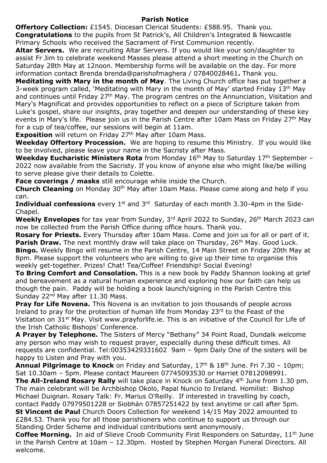### **Parish Notice**

**Offertory Collection:** £1545. Diocesan Clerical Students: £588.95. Thank you. **Congratulations** to the pupils from St Patrick's, All Children's Integrated & Newcastle Primary Schools who received the Sacrament of First Communion recently.

**Altar Servers.** We are recruiting Altar Servers. If you would like your son/daughter to assist Fr Jim to celebrate weekend Masses please attend a short meeting in the Church on Saturday 28th May at 12noon. Membership forms will be available on the day. For more information contact Brenda brenda@parishofmaghera / 07840028461**.** Thank you.

**Meditating with Mary in the month of May**. The Living Church office has put together a 3-week program called, 'Meditating with Mary in the month of May' started Friday 13<sup>th</sup> May and continues until Friday 27<sup>th</sup> May. The program centres on the Annunciation, Visitation and Mary's Magnificat and provides opportunities to reflect on a piece of Scripture taken from Luke's gospel, share our insights, pray together and deepen our understanding of these key events in Mary's life. Please join us in the Parish Centre after 10am Mass on Friday 27<sup>th</sup> May for a cup of tea/coffee, our sessions will begin at 11am.

**Exposition** will return on Friday 27<sup>th</sup> May after 10am Mass.

**Weekday Offertory Procession.** We are hoping to resume this Ministry. If you would like to be involved, please leave your name in the Sacristy after Mass.

**Weekday Eucharistic Ministers Rota** from Monday 16<sup>th</sup> May to Saturday 17<sup>th</sup> September -2022 now available from the Sacristy. If you know of anyone else who might like/be willing to serve please give their details to Colette.

**Face coverings / masks** still encourage while inside the Church.

**Church Cleaning** on Monday 30<sup>th</sup> May after 10am Mass. Please come along and help if you can.

**Individual confessions** every 1<sup>st</sup> and 3<sup>rd</sup> Saturday of each month 3.30-4pm in the Side-Chapel.

**Weekly Envelopes** for tax year from Sunday, 3<sup>rd</sup> April 2022 to Sunday, 26<sup>th</sup> March 2023 can now be collected from the Parish Office during office hours. Thank you.

**Rosary for Priests.** Every Thursday after 10am Mass. Come and join us for all or part of it. **Parish Draw.** The next monthly draw will take place on Thursday, 26<sup>th</sup> May. Good Luck. **Bingo.** Weekly Bingo will resume in the Parish Centre, 14 Main Street on Friday 20th May at 8pm. Please support the volunteers who are willing to give up their time to organise this weekly get-together. Prizes! Chat! Tea/Coffee! Friendship! Social Evening!

**To Bring Comfort and Consolation.** This is a new book by Paddy Shannon looking at grief and bereavement as a natural human experience and exploring how our faith can help us though the pain. Paddy will be holding a book launch/signing in the Parish Centre this Sunday  $22^{nd}$  May after 11.30 Mass.

**Pray for Life Novena.** This Novena is an invitation to join thousands of people across Ireland to pray for the protection of human life from Monday 23rd to the Feast of the Visitation on 31st May. Visit [www.prayforlife.ie.](http://www.prayforlife.ie/) This is an initiative of the Council for Life of the Irish Catholic Bishops' Conference.

**A Prayer by Telephone.** The Sisters of Mercy "Bethany" 34 Point Road, Dundalk welcome any person who may wish to request prayer, especially during these difficult times. All requests are confidential. Tel:00353429331602 9am – 9pm Daily One of the sisters will be happy to Listen and Pray with you.

**Annual Pilgrimage to Knock** on Friday and Saturday, 17<sup>th</sup> & 18<sup>th</sup> June. Fri 7.30 - 10pm; Sat 10.30am – 5pm. Please contact Maureen 07745093530 or Harriet 07812098991.

**The All-Ireland Rosary Rally** will take place in Knock on Saturday 4<sup>th</sup> June from 1.30 pm. The main celebrant will be Archbishop Okolo, Papal Nuncio to Ireland. Homilist: Bishop Michael Duignan. Rosary Talk: Fr. Marius O'Reilly. If interested in travelling by coach, contact Paddy 07979501228 or Siobhán 07857251422 by text anytime or call after 5pm.

**St Vincent de Paul** Church Doors Collection for weekend 14/15 May 2022 amounted to £284.53. Thank you for all those parishioners who continue to support us through our Standing Order Scheme and individual contributions sent anonymously.

**Coffee Morning.** In aid of Slieve Croob Community First Responders on Saturday, 11<sup>th</sup> June in the Parish Centre at 10am – 12.30pm. Hosted by Stephen Morgan Funeral Directors. All welcome.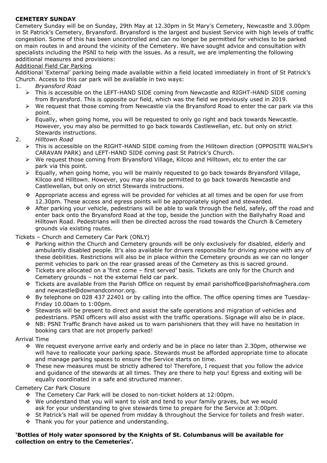### **CEMETERY SUNDAY**

Cemetery Sunday will be on Sunday, 29th May at 12.30pm in St Mary's Cemetery, Newcastle and 3.00pm in St Patrick's Cemetery, Bryansford. Bryansford is the largest and busiest Service with high levels of traffic congestion. Some of this has been uncontrolled and can no longer be permitted for vehicles to be parked on main routes in and around the vicinity of the Cemetery. We have sought advice and consultation with specialists including the PSNI to help with the issues. As a result, we are implementing the following additional measures and provisions:

#### Additional Field Car Parking

Additional 'External' parking being made available within a field located immediately in front of St Patrick's Church. Access to this car park will be available in two ways:

- 1. *Bryansford Road*
	- ➢ This is accessible on the LEFT-HAND SIDE coming from Newcastle and RIGHT-HAND SIDE coming from Bryansford. This is opposite our field, which was the field we previously used in 2019.
	- ➢ We request that those coming from Newcastle via the Bryansford Road to enter the car park via this point.
	- $\triangleright$  Equally, when going home, you will be requested to only go right and back towards Newcastle. However, you may also be permitted to go back towards Castlewellan, etc. but only on strict Stewards instructions.
- 2. *Hilltown Road*
	- ➢ This is accessible on the RIGHT-HAND SIDE coming from the Hilltown direction (OPPOSITE WALSH's CARAVAN PARK) and LEFT-HAND SIDE coming past St Patrick's Church.
	- ➢ We request those coming from Bryansford Village, Kilcoo and Hilltown, etc to enter the car park via this point.
	- ➢ Equally, when going home, you will be mainly requested to go back towards Bryansford Village, Kilcoo and Hilltown. However, you may also be permitted to go back towards Newcastle and Castlewellan, but only on strict Stewards instructions.
	- ❖ Appropriate access and egress will be provided for vehicles at all times and be open for use from 12.30pm. These access and egress points will be appropriately signed and stewarded.
	- ❖ After parking your vehicle, pedestrians will be able to walk through the field, safely, off the road and enter back onto the Bryansford Road at the top, beside the junction with the Ballyhafry Road and Hilltown Road. Pedestrians will then be directed across the road towards the Church & Cemetery grounds via existing routes.

Tickets – Church and Cemetery Car Park (ONLY)

- ❖ Parking within the Church and Cemetery grounds will be only exclusively for disabled, elderly and ambulantly disabled people. It's also available for drivers responsible for driving anyone with any of these debilities. Restrictions will also be in place within the Cemetery grounds as we can no longer permit vehicles to park on the rear grassed areas of the Cemetery as this is sacred ground.
- ❖ Tickets are allocated on a 'first come first served' basis. Tickets are only for the Church and Cemetery grounds – not the external field car park.
- ❖ Tickets are available from the Parish Office on request by email parishoffice@parishofmaghera.com and newcastle@downandconnor.org.
- ❖ By telephone on 028 437 22401 or by calling into the office. The office opening times are Tuesday-Friday 10.00am to 1:00pm.
- ❖ Stewards will be present to direct and assist the safe operations and migration of vehicles and pedestrians. PSNI officers will also assist with the traffic operations. Signage will also be in place.
- ❖ NB: PSNI Traffic Branch have asked us to warn parishioners that they will have no hesitation in booking cars that are not properly parked!

Arrival Time

- ❖ We request everyone arrive early and orderly and be in place no later than 2.30pm, otherwise we will have to reallocate your parking space. Stewards must be afforded appropriate time to allocate and manage parking spaces to ensure the Service starts on time.
- ❖ These new measures must be strictly adhered to! Therefore, I request that you follow the advice and guidance of the stewards at all times. They are there to help you! Egress and exiting will be equally coordinated in a safe and structured manner.

Cemetery Car Park Closure

- ❖ The Cemetery Car Park will be closed to non-ticket holders at 12:00pm.
- ❖ We understand that you will want to visit and tend to your family graves, but we would ask for your understanding to give stewards time to prepare for the Service at 3:00pm.
- ❖ St Patrick's Hall will be opened from midday & throughout the Service for toilets and fresh water.
- ❖ Thank you for your patience and understanding.

#### **'Bottles of Holy water sponsored by the Knights of St. Columbanus will be available for collection on entry to the Cemeteries'.**